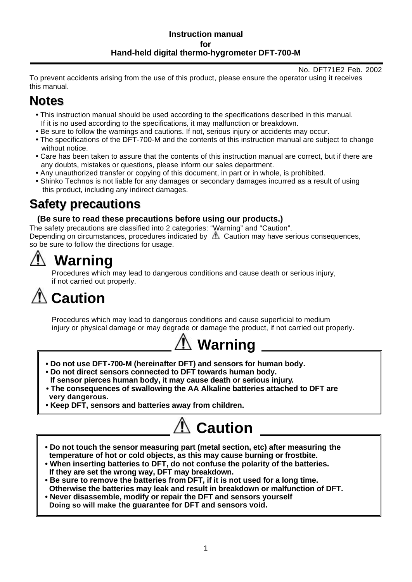#### **Instruction manual for Hand-held digital thermo-hygrometer DFT-700-M**

#### No. DFT71E2 Feb. 2002

To prevent accidents arising from the use of this product, please ensure the operator using it receives this manual.

# **Notes**

- This instruction manual should be used according to the specifications described in this manual. If it is no used according to the specifications, it may malfunction or breakdown.
- Be sure to follow the warnings and cautions. If not, serious injury or accidents may occur.
- The specifications of the DFT-700-M and the contents of this instruction manual are subject to change without notice.
- Care has been taken to assure that the contents of this instruction manual are correct, but if there are any doubts, mistakes or questions, please inform our sales department.
- Any unauthorized transfer or copying of this document, in part or in whole, is prohibited.
- Shinko Technos is not liable for any damages or secondary damages incurred as a result of using this product, including any indirect damages.

# **Safety precautions**

### **(Be sure to read these precautions before using our products.)**

The safety precautions are classified into 2 categories: "Warning" and "Caution". Depending on circumstances, procedures indicated by  $\Delta$  Caution may have serious consequences, so be sure to follow the directions for usage.

# **Warning**

Procedures which may lead to dangerous conditions and cause death or serious injury, if not carried out properly.

# **Caution**

Procedures which may lead to dangerous conditions and cause superficial to medium injury or physical damage or may degrade or damage the product, if not carried out properly.



- **Do not use DFT-700-M (hereinafter DFT) and sensors for human body.**
- **Do not direct sensors connected to DFT towards human body. If sensor pierces human body, it may cause death or serious injury.**
- **The consequences of swallowing the AA Alkaline batteries attached to DFT are very dangerous.**
- **Keep DFT, sensors and batteries away from children.**



- **Do not touch the sensor measuring part (metal section, etc) after measuring the temperature of hot or cold objects, as this may cause burning or frostbite.**
- **When inserting batteries to DFT, do not confuse the polarity of the batteries. If they are set the wrong way, DFT may breakdown.**
- Otherwise the batteries may leak and result in breakdown or malfunction of DFT.<br>Never disassemble, modify or repair the DFT and sensors vourself **• Be sure to remove the batteries from DFT, if it is not used for a long time.**
- **Never disassemble, modify or repair the DFT and sensors yourself Doing so will make the guarantee for DFT and sensors void.**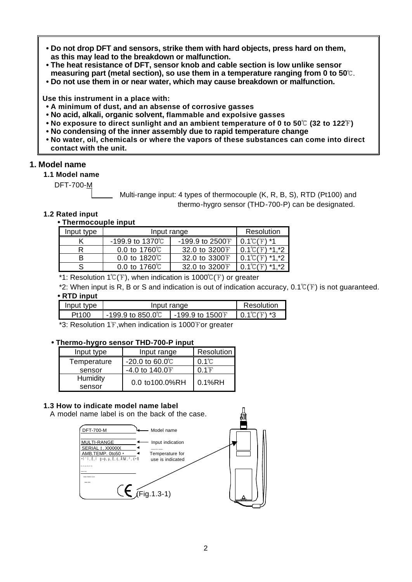- **Do not drop DFT and sensors, strike them with hard objects, press hard on them, as this may lead to the breakdown or malfunction.**
- **The heat resistance of DFT, sensor knob and cable section is low unlike sensor measuring part (metal section), so use them in a temperature ranging from 0 to 50°C.**
- **Do not use them in or near water, which may cause breakdown or malfunction.**

**Use this instrument in a place with:**

- **• A minimum of dust, and an absense of corrosive gasses**
- **• No acid, alkali, organic solvent, flammable and expolsive gasses**
- **No exposure to direct sunlight and an ambient temperature of 0 to 50°C (32 to 122°F)**
- **No condensing of the inner assembly due to rapid temperature change**
- **• No water, oil, chemicals or where the vapors of these substances can come into direct contact with the unit.**

#### **1. Model name**

 **1.1 Model name**

DFT-700-M

Multi-range input: 4 types of thermocouple (K, R, B, S), RTD (Pt100) and thermo-hygro sensor (THD-700-P) can be designated.

#### **1.2 Rated input**

#### **• Thermocouple input**

| Input type |                       | Input range      |                           |
|------------|-----------------------|------------------|---------------------------|
|            | -199.9 to 1370℃       | -199.9 to 2500 F | ۰*۱<br>$0.1\degree$ C $($ |
|            | 0.0 to $1760^{\circ}$ | 32.0 to 3200 F   | *1 *2<br>0.1 C            |
|            | 0.0 to $1820^{\circ}$ | 32.0 to 3300 F   | *1 *2                     |
|            | 0.0 to $1760^{\circ}$ | 32.0 to 3200 F   | $*1 * 2$                  |

\*1: Resolution  $1^{\circ}C(F)$ , when indication is 1000°C(F) or greater

\*2: When input is R, B or S and indication is out of indication accuracy,  $0.1^{\circ}$  (F) is not quaranteed.

#### **• RTD input**

| Input type | Input range                                |                      | Resolution        |
|------------|--------------------------------------------|----------------------|-------------------|
| Pt100      | $-199.9$ to 850.0 $^\circ\hspace{-0.05cm}$ | $-199.9$ to $1500$ F | $0.1$ °C $(F)$ *3 |

 $*3$ : Resolution 1 $F$ , when indication is 1000 $F$ or greater

#### **• Thermo-hygro sensor THD-700-P input**

| Input type  | Input range                    | <b>Resolution</b> |
|-------------|--------------------------------|-------------------|
| Temperature | $-20.0$ to 60.0 <sup>°</sup> C | $0.1\degree$ C    |
| sensor      | $-4.0$ to $140.0$ F            | $0.1$ F           |
| Humidity    | 0.0 to100.0%RH                 | 0.1%RH            |
| sensor      |                                |                   |

#### **1.3 How to indicate model name label**

A model name label is on the back of the case.

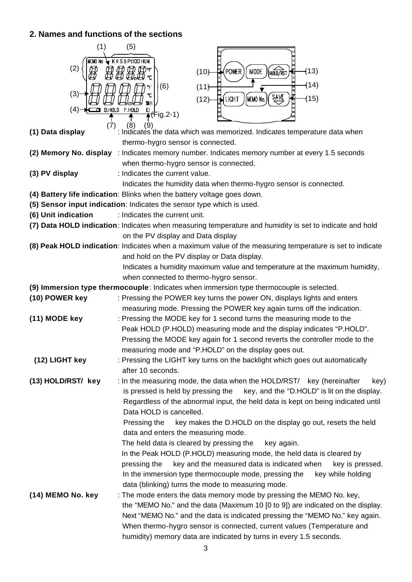## **2. Names and functions of the sections**

| (1)                 | (5)                                                                                                                                                     |
|---------------------|---------------------------------------------------------------------------------------------------------------------------------------------------------|
| newo no<br>(2)      | $\blacklozenge$ KRSBPt100 HUN                                                                                                                           |
|                     | (13)<br>POWER<br><b>MODE</b><br>(10)<br>HOLD/RST                                                                                                        |
| (3)                 | (14)<br>(6)<br>(11)                                                                                                                                     |
|                     | ግ<br><b>SAVE</b><br>(15)<br>(MEMO No.<br><b>LIGHT</b><br>(12)<br><b>ZRH</b>                                                                             |
| (4)                 | D.HOLD P.HOLD<br>ĘL<br><del>⊼(</del> Fig.2-1)                                                                                                           |
|                     | (8)<br>(7)<br>(9)                                                                                                                                       |
| (1) Data display    | : Indicates the data which was memorized. Indicates temperature data when                                                                               |
|                     | thermo-hygro sensor is connected.                                                                                                                       |
|                     | (2) Memory No. display : Indicates memory number. Indicates memory number at every 1.5 seconds                                                          |
|                     | when thermo-hygro sensor is connected.                                                                                                                  |
| (3) PV display      | : Indicates the current value.                                                                                                                          |
|                     | Indicates the humidity data when thermo-hygro sensor is connected.                                                                                      |
|                     | (4) Battery life indication: Blinks when the battery voltage goes down.                                                                                 |
|                     | (5) Sensor input indication: Indicates the sensor type which is used.                                                                                   |
| (6) Unit indication | : Indicates the current unit.                                                                                                                           |
|                     | (7) Data HOLD indication: Indicates when measuring temperature and humidity is set to indicate and hold<br>on the PV display and Data display           |
|                     | (8) Peak HOLD indication: Indicates when a maximum value of the measuring temperature is set to indicate                                                |
|                     | and hold on the PV display or Data display.                                                                                                             |
|                     | Indicates a humidity maximum value and temperature at the maximum humidity,                                                                             |
|                     | when connected to thermo-hygro sensor.                                                                                                                  |
|                     | (9) Immersion type thermocouple: Indicates when immersion type thermocouple is selected.                                                                |
| (10) POWER key      | : Pressing the POWER key turns the power ON, displays lights and enters                                                                                 |
|                     | measuring mode. Pressing the POWER key again turns off the indication.                                                                                  |
| (11) MODE key       | : Pressing the MODE key for 1 second turns the measuring mode to the                                                                                    |
|                     | Peak HOLD (P.HOLD) measuring mode and the display indicates "P.HOLD".                                                                                   |
|                     | Pressing the MODE key again for 1 second reverts the controller mode to the                                                                             |
|                     | measuring mode and "P.HOLD" on the display goes out.                                                                                                    |
| (12) LIGHT key      | : Pressing the LIGHT key turns on the backlight which goes out automatically                                                                            |
|                     | after 10 seconds.                                                                                                                                       |
| (13) HOLD/RST/ key  | : In the measuring mode, the data when the HOLD/RST/ key (hereinafter<br>key)                                                                           |
|                     | key, and the "D.HOLD" is lit on the display.<br>is pressed is held by pressing the                                                                      |
|                     | Regardless of the abnormal input, the held data is kept on being indicated until                                                                        |
|                     | Data HOLD is cancelled.                                                                                                                                 |
|                     | key makes the D.HOLD on the display go out, resets the held<br>Pressing the                                                                             |
|                     | data and enters the measuring mode.                                                                                                                     |
|                     | The held data is cleared by pressing the<br>key again.                                                                                                  |
|                     | In the Peak HOLD (P.HOLD) measuring mode, the held data is cleared by<br>key and the measured data is indicated when<br>pressing the<br>key is pressed. |
|                     | In the immersion type thermocouple mode, pressing the<br>key while holding                                                                              |
|                     | data (blinking) turns the mode to measuring mode.                                                                                                       |
| (14) MEMO No. key   | : The mode enters the data memory mode by pressing the MEMO No. key,                                                                                    |
|                     | the "MEMO No." and the data (Maximum 10 [0 to 9]) are indicated on the display.                                                                         |
|                     | Next "MEMO No." and the data is indicated pressing the "MEMO No." key again.                                                                            |
|                     | When thermo-hygro sensor is connected, current values (Temperature and                                                                                  |
|                     | humidity) memory data are indicated by turns in every 1.5 seconds.                                                                                      |
|                     |                                                                                                                                                         |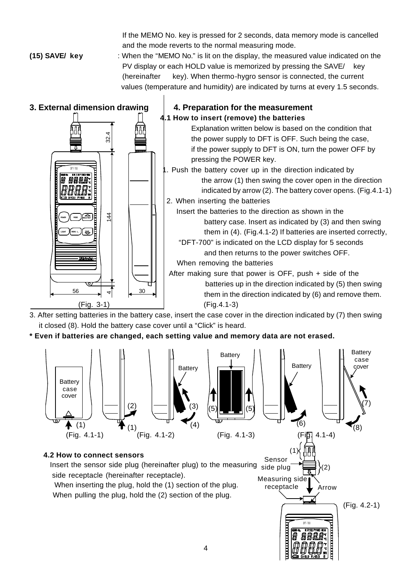If the MEMO No. key is pressed for 2 seconds, data memory mode is cancelled and the mode reverts to the normal measuring mode.

**(15) SAVE/ key** : When the "MEMO No." is lit on the display, the measured value indicated on the PV display or each HOLD value is memorized by pressing the SAVE/ key (hereinafter key). When thermo-hygro sensor is connected, the current values (temperature and humidity) are indicated by turns at every 1.5 seconds.



3. After setting batteries in the battery case, insert the case cover in the direction indicated by (7) then swing it closed (8). Hold the battery case cover until a "Click" is heard.

**\* Even if batteries are changed, each setting value and memory data are not erased.**

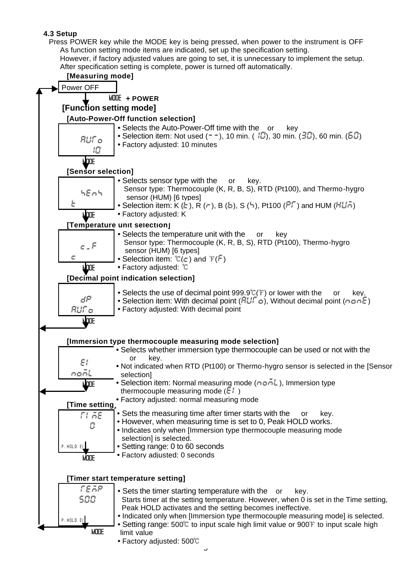#### **4.3 Setup**

 Press POWER key while the MODE key is being pressed, when power to the instrument is OFF As function setting mode items are indicated, set up the specification setting. However, if factory adjusted values are going to set, it is unnecessary to implement the setup.

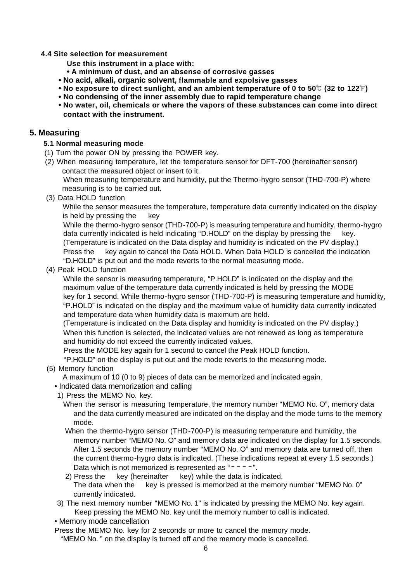#### **4.4 Site selection for measurement**

- **Use this instrument in a place with:**
- **• A minimum of dust, and an absense of corrosive gasses**
- **No acid, alkali, organic solvent, flammable and expolsive gasses**
- **No exposure to direct sunlight, and an ambient temperature of 0 to 50°C (32 to 122°F)**
- **No condensing of the inner assembly due to rapid temperature change**
- **• No water, oil, chemicals or where the vapors of these substances can come into direct contact with the instrument.**

#### **5. Measuring**

#### **5.1 Normal measuring mode**

- (1) Turn the power ON by pressing the POWER key.
- (2) When measuring temperature, let the temperature sensor for DFT-700 (hereinafter sensor) contact the measured object or insert to it.

When measuring temperature and humidity, put the Thermo-hygro sensor (THD-700-P) where measuring is to be carried out.

(3) Data HOLD function

While the sensor measures the temperature, temperature data currently indicated on the display is held by pressing the key

While the thermo-hygro sensor (THD-700-P) is measuring temperature and humidity, thermo-hygro data currently indicated is held indicating "D.HOLD" on the display by pressing the key. (Temperature is indicated on the Data display and humidity is indicated on the PV display.) Press the key again to cancel the Data HOLD. When Data HOLD is cancelled the indication "D.HOLD" is put out and the mode reverts to the normal measuring mode.

(4) Peak HOLD function

While the sensor is measuring temperature, "P.HOLD" is indicated on the display and the maximum value of the temperature data currently indicated is held by pressing the MODE key for 1 second. While thermo-hygro sensor (THD-700-P) is measuring temperature and humidity, "P.HOLD" is indicated on the display and the maximum value of humidity data currently indicated and temperature data when humidity data is maximum are held.

(Temperature is indicated on the Data display and humidity is indicated on the PV display.) When this function is selected, the indicated values are not renewed as long as temperature and humidity do not exceed the currently indicated values.

Press the MODE key again for 1 second to cancel the Peak HOLD function.

"P.HOLD" on the display is put out and the mode reverts to the measuring mode.

(5) Memory function

A maximum of 10 (0 to 9) pieces of data can be memorized and indicated again.

- Indicated data memorization and calling
- 1) Press the MEMO No. key.

 When the sensor is measuring temperature, the memory number "MEMO No. O", memory data and the data currently measured are indicated on the display and the mode turns to the memory mode.

- When the thermo-hygro sensor (THD-700-P) is measuring temperature and humidity, the memory number "MEMO No. O" and memory data are indicated on the display for 1.5 seconds. After 1.5 seconds the memory number "MEMO No. O" and memory data are turned off, then the current thermo-hygro data is indicated. (These indications repeat at every 1.5 seconds.) Data which is not memorized is represented as " $= -7$ ".
- 2) Press the key (hereinafter key) while the data is indicated. The data when the key is pressed is memorized at the memory number "MEMO No. 0" currently indicated.
- 3) The next memory number "MEMO No. 1" is indicated by pressing the MEMO No. key again. Keep pressing the MEMO No. key until the memory number to call is indicated.

• Memory mode cancellation

 Press the MEMO No. key for 2 seconds or more to cancel the memory mode. "MEMO No. " on the display is turned off and the memory mode is cancelled.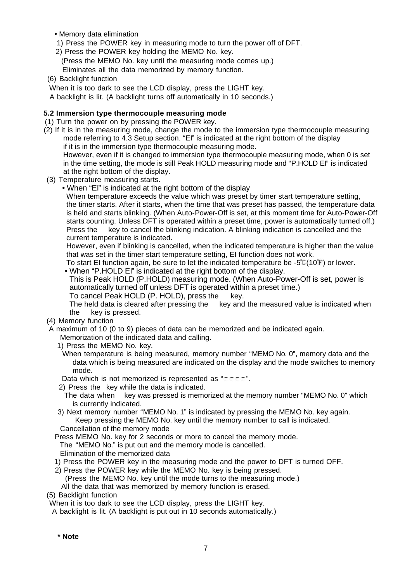- Memory data elimination
- 1) Press the POWER key in measuring mode to turn the power off of DFT.
- 2) Press the POWER key holding the MEMO No. key.
- (Press the MEMO No. key until the measuring mode comes up.)
- Eliminates all the data memorized by memory function.
- (6) Backlight function

When it is too dark to see the LCD display, press the LIGHT key.

A backlight is lit. (A backlight turns off automatically in 10 seconds.)

#### **5.2 Immersion type thermocouple measuring mode**

- (1) Turn the power on by pressing the POWER key.
- (2) If it is in the measuring mode, change the mode to the immersion type thermocouple measuring mode referring to 4.3 Setup section. "EI" is indicated at the right bottom of the display if it is in the immersion type thermocouple measuring mode. However, even if it is changed to immersion type thermocouple measuring mode, when 0 is set in the time setting, the mode is still Peak HOLD measuring mode and "P.HOLD EI" is indicated at the right bottom of the display.
- (3) Temperature measuring starts.
	- When "EI" is indicated at the right bottom of the display

When temperature exceeds the value which was preset by timer start temperature setting, the timer starts. After it starts, when the time that was preset has passed, the temperature data is held and starts blinking. (When Auto-Power-Off is set, at this moment time for Auto-Power-Off starts counting. Unless DFT is operated within a preset time, power is automatically turned off.) Press the key to cancel the blinking indication. A blinking indication is cancelled and the current temperature is indicated.

However, even if blinking is cancelled, when the indicated temperature is higher than the value that was set in the timer start temperature setting, EI function does not work.

To start EI function again, be sure to let the indicated temperature be - $5^{\circ}C(10^{\circ}F)$  or lower. • When "P.HOLD El" is indicated at the right bottom of the display.

This is Peak HOLD (P.HOLD) measuring mode. (When Auto-Power-Off is set, power is automatically turned off unless DFT is operated within a preset time.)

To cancel Peak HOLD (P. HOLD), press the key.

The held data is cleared after pressing the key and the measured value is indicated when the key is pressed.

(4) Memory function

A maximum of 10 (0 to 9) pieces of data can be memorized and be indicated again.

- Memorization of the indicated data and calling.
- 1) Press the MEMO No. key.
- When temperature is being measured, memory number "MEMO No. 0", memory data and the data which is being measured are indicated on the display and the mode switches to memory mode.

Data which is not memorized is represented as " $=$   $=$   $=$   $=$   $\degree$ ".

- 2) Press the key while the data is indicated.
- The data when key was pressed is memorized at the memory number "MEMO No. 0" which is currently indicated.
- 3) Next memory number "MEMO No. 1" is indicated by pressing the MEMO No. key again. Keep pressing the MEMO No. key until the memory number to call is indicated. Cancellation of the memory mode

Press MEMO No. key for 2 seconds or more to cancel the memory mode.

The "MEMO No." is put out and the memory mode is cancelled.

- Elimination of the memorized data
- 1) Press the POWER key in the measuring mode and the power to DFT is turned OFF.
- 2) Press the POWER key while the MEMO No. key is being pressed.
	- (Press the MEMO No. key until the mode turns to the measuring mode.)
- All the data that was memorized by memory function is erased.

(5) Backlight function

When it is too dark to see the LCD display, press the LIGHT key.

A backlight is lit. (A backlight is put out in 10 seconds automatically.)

**\* Note**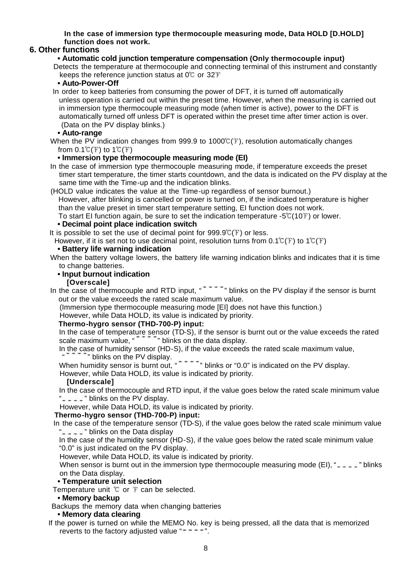#### **In the case of immersion type thermocouple measuring mode, Data HOLD [D.HOLD] function does not work.**

### **6. Other functions**

#### **• Automatic cold junction temperature compensation (Only thermocouple input)**

 Detects the temperature at thermocouple and connecting terminal of this instrument and constantly keeps the reference junction status at  $0^{\circ}$  or 32 F

#### **• Auto-Power-Off**

 In order to keep batteries from consuming the power of DFT, it is turned off automatically unless operation is carried out within the preset time. However, when the measuring is carried out in immersion type thermocouple measuring mode (when timer is active), power to the DFT is automatically turned off unless DFT is operated within the preset time after timer action is over. (Data on the PV display blinks.)

#### **• Auto-range**

When the PV indication changes from 999.9 to 1000 $\mathbb{C}(\mathbb{F})$ , resolution automatically changes from  $0.1^{\circ}C(F)$  to  $1^{\circ}C(F)$ 

#### **• Immersion type thermocouple measuring mode (EI)**

 In the case of immersion type thermocouple measuring mode, if temperature exceeds the preset timer start temperature, the timer starts countdown, and the data is indicated on the PV display at the same time with the Time-up and the indication blinks.

(HOLD value indicates the value at the Time-up regardless of sensor burnout.)

However, after blinking is cancelled or power is turned on, if the indicated temperature is higher than the value preset in timer start temperature setting, EI function does not work.

To start EI function again, be sure to set the indication temperature - $5^{\circ}$  (10 F) or lower.

#### **• Decimal point place indication switch**

It is possible to set the use of decimal point for  $999.9^{\circ}C(F)$  or less.

However, if it is set not to use decimal point, resolution turns from  $0.1^{\circ}$  (F) to  $1^{\circ}$  (F)

#### **• Battery life warning indication**

 When the battery voltage lowers, the battery life warning indication blinks and indicates that it is time to change batteries.

#### **• Input burnout indication**

#### **[Overscale]**

In the case of thermocouple and RTD input, "<br>
<sup>"</sup>" blinks on the PV display if the sensor is burnt out or the value exceeds the rated scale maximum value.

(Immersion type thermocouple measuring mode [EI] does not have this function.)

However, while Data HOLD, its value is indicated by priority.

#### **Thermo-hygro sensor (THD-700-P) input:**

In the case of temperature sensor (TD-S), if the sensor is burnt out or the value exceeds the rated scale maximum value, "<br>
<sup>"</sup>" blinks on the data display.

In the case of humidity sensor (HD-S), if the value exceeds the rated scale maximum value,

#### where PV display.

When humidity sensor is burnt out, "  $-$ " blinks or "0.0" is indicated on the PV display.

However, while Data HOLD, its value is indicated by priority.

#### **[Underscale]**

In the case of thermocouple and RTD input, if the value goes below the rated scale minimum value " $=$   $=$   $=$   $=$  " blinks on the PV display.

However, while Data HOLD, its value is indicated by priority.

#### **Thermo-hygro sensor (THD-700-P) input:**

 In the case of the temperature sensor (TD-S), if the value goes below the rated scale minimum value "  $\leq$   $\leq$   $\leq$  " blinks on the Data display"

In the case of the humidity sensor (HD-S), if the value goes below the rated scale minimum value "0.0" is just indicated on the PV display.

However, while Data HOLD, its value is indicated by priority.

When sensor is burnt out in the immersion type thermocouple measuring mode (EI), " $=$   $=$   $=$   $=$  " blinks on the Data display.

#### **• Temperature unit selection**

Temperature unit  $\mathbb C$  or  $\mathbb F$  can be selected.

#### **• Memory backup**

Backups the memory data when changing batteries

 **• Memory data clearing**

 If the power is turned on while the MEMO No. key is being pressed, all the data that is memorized reverts to the factory adjusted value " $=$   $=$   $=$   $=$   $\ldots$ ".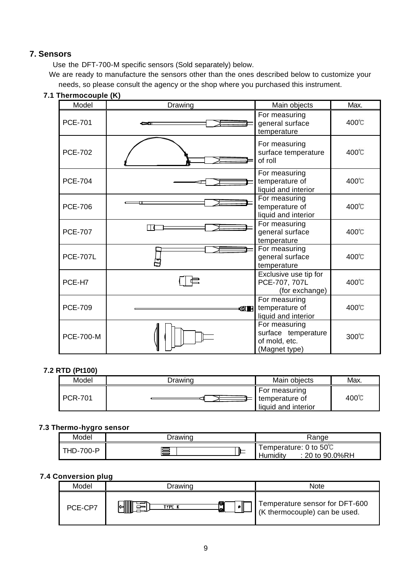### **7. Sensors**

Use the DFT-700-M specific sensors (Sold separately) below.

 We are ready to manufacture the sensors other than the ones described below to customize your needs, so please consult the agency or the shop where you purchased this instrument.

| Model            | Drawing       | Main objects                                                           | Max.            |
|------------------|---------------|------------------------------------------------------------------------|-----------------|
| <b>PCE-701</b>   |               | For measuring<br>general surface<br>temperature                        | 400°C           |
| <b>PCE-702</b>   |               | For measuring<br>surface temperature<br>of roll                        | $400^{\circ}$ C |
| <b>PCE-704</b>   |               | For measuring<br>temperature of<br>liquid and interior                 | 400°C           |
| <b>PCE-706</b>   |               | For measuring<br>temperature of<br>liquid and interior                 | 400°C           |
| <b>PCE-707</b>   | l 1 d         | For measuring<br>general surface<br>temperature                        | 400°C           |
| <b>PCE-707L</b>  |               | For measuring<br>general surface<br>temperature                        | $400^{\circ}$ C |
| PCE-H7           |               | Exclusive use tip for<br>PCE-707, 707L<br>(for exchange)               | 400°C           |
| <b>PCE-709</b>   | <b>een ko</b> | For measuring<br>temperature of<br>liquid and interior                 | $400^{\circ}$ C |
| <b>PCE-700-M</b> |               | For measuring<br>surface temperature<br>of mold, etc.<br>(Magnet type) | 300℃            |

**7.1 Thermocouple (K)**

#### **7.2 RTD (Pt100)**

| .              |         |                                                         |      |
|----------------|---------|---------------------------------------------------------|------|
| Model          | ⊃rawing | Main objects                                            | Max. |
| <b>PCR-701</b> |         | ⊩For measuring<br>temperature of<br>liquid and interior | 400℃ |

#### **7.3 Thermo-hygro sensor**

| --               |         |                                                    |
|------------------|---------|----------------------------------------------------|
| Model            | ⊃rawino | ≺anqe                                              |
| <b>THD-700-P</b> | ⊫       | 「emperature: 0 to 50℃<br>Humidity<br>20 to 90.0%RH |

#### **7.4 Conversion plug**

| Model   | <i>Drawing</i>     | <b>Note</b>                                                    |
|---------|--------------------|----------------------------------------------------------------|
| PCE-CP7 | TYPE K<br>øΙ<br>kЫ | Temperature sensor for DFT-600<br>K thermocouple) can be used. |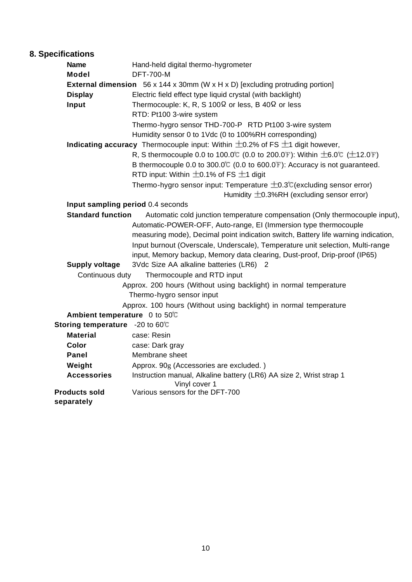# **8. Specifications**

| <b>Name</b>                                                                                   | Hand-held digital thermo-hygrometer                                                               |  |  |  |
|-----------------------------------------------------------------------------------------------|---------------------------------------------------------------------------------------------------|--|--|--|
| <b>Model</b>                                                                                  | <b>DFT-700-M</b>                                                                                  |  |  |  |
|                                                                                               | <b>External dimension</b> $56 \times 144 \times 30$ mm (W x H x D) [excluding protruding portion] |  |  |  |
| <b>Display</b>                                                                                | Electric field effect type liquid crystal (with backlight)                                        |  |  |  |
| Input                                                                                         | Thermocouple: K, R, S 100 $\Omega$ or less, B 40 $\Omega$ or less                                 |  |  |  |
|                                                                                               | RTD: Pt100 3-wire system                                                                          |  |  |  |
|                                                                                               | Thermo-hygro sensor THD-700-P RTD Pt100 3-wire system                                             |  |  |  |
|                                                                                               | Humidity sensor 0 to 1Vdc (0 to 100%RH corresponding)                                             |  |  |  |
| <b>Indicating accuracy</b> Thermocouple input: Within $\pm$ 0.2% of FS $\pm$ 1 digit however, |                                                                                                   |  |  |  |
|                                                                                               | R, S thermocouple 0.0 to 100.0℃ (0.0 to 200.0 F): Within $±6.0$ °C ( $±12.0$ F)                   |  |  |  |
|                                                                                               | B thermocouple 0.0 to 300.0 $\degree$ (0.0 to 600.0 $\degree$ ): Accuracy is not guaranteed.      |  |  |  |
|                                                                                               | RTD input: Within $\pm$ 0.1% of FS $\pm$ 1 digit                                                  |  |  |  |
|                                                                                               | Thermo-hygro sensor input: Temperature $\pm$ 0.3°C (excluding sensor error)                       |  |  |  |
|                                                                                               | Humidity $\pm$ 0.3%RH (excluding sensor error)                                                    |  |  |  |
|                                                                                               | Input sampling period 0.4 seconds                                                                 |  |  |  |
| <b>Standard function</b>                                                                      | Automatic cold junction temperature compensation (Only thermocouple input),                       |  |  |  |
|                                                                                               | Automatic-POWER-OFF, Auto-range, EI (Immersion type thermocouple                                  |  |  |  |
|                                                                                               | measuring mode), Decimal point indication switch, Battery life warning indication,                |  |  |  |
|                                                                                               | Input burnout (Overscale, Underscale), Temperature unit selection, Multi-range                    |  |  |  |
|                                                                                               | input, Memory backup, Memory data clearing, Dust-proof, Drip-proof (IP65)                         |  |  |  |
| <b>Supply voltage</b>                                                                         | 3Vdc Size AA alkaline batteries (LR6) 2                                                           |  |  |  |
| Continuous duty                                                                               | Thermocouple and RTD input                                                                        |  |  |  |
|                                                                                               | Approx. 200 hours (Without using backlight) in normal temperature                                 |  |  |  |
|                                                                                               | Thermo-hygro sensor input                                                                         |  |  |  |
|                                                                                               | Approx. 100 hours (Without using backlight) in normal temperature                                 |  |  |  |
| Ambient temperature 0 to 50°C                                                                 |                                                                                                   |  |  |  |
| Storing temperature -20 to 60°C                                                               |                                                                                                   |  |  |  |
| <b>Material</b>                                                                               | case: Resin                                                                                       |  |  |  |
| Color                                                                                         | case: Dark gray                                                                                   |  |  |  |
| <b>Panel</b>                                                                                  | Membrane sheet                                                                                    |  |  |  |
| Weight                                                                                        | Approx. 90g (Accessories are excluded.)                                                           |  |  |  |
| <b>Accessories</b>                                                                            | Instruction manual, Alkaline battery (LR6) AA size 2, Wrist strap 1<br>Vinyl cover 1              |  |  |  |
| <b>Products sold</b>                                                                          | Various sensors for the DFT-700                                                                   |  |  |  |
| separately                                                                                    |                                                                                                   |  |  |  |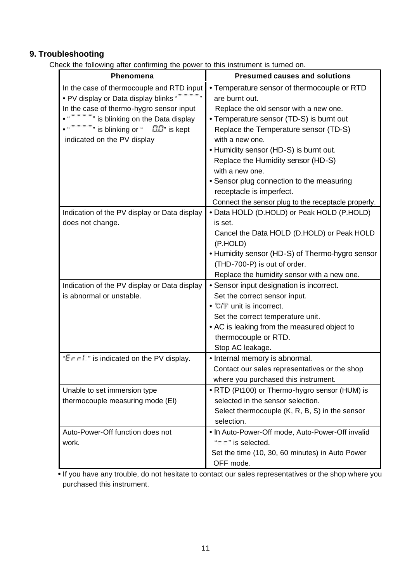## **9. Troubleshooting**

Check the following after confirming the power to this instrument is turned on.

| Phenomena                                                                                                                                                                                              | <b>Presumed causes and solutions</b>                                                                                                                                                                                                                    |
|--------------------------------------------------------------------------------------------------------------------------------------------------------------------------------------------------------|---------------------------------------------------------------------------------------------------------------------------------------------------------------------------------------------------------------------------------------------------------|
| In the case of thermocouple and RTD input<br>• PV display or Data display blinks "                                                                                                                     | • Temperature sensor of thermocouple or RTD<br>are burnt out.                                                                                                                                                                                           |
| In the case of thermo-hygro sensor input<br>" * "" is blinking on the Data display<br>$\overline{\phantom{a}}$ is blinking or " $\overline{a}$ $\overline{a}$ " is kept<br>indicated on the PV display | Replace the old sensor with a new one.<br>• Temperature sensor (TD-S) is burnt out<br>Replace the Temperature sensor (TD-S)<br>with a new one.<br>• Humidity sensor (HD-S) is burnt out.                                                                |
|                                                                                                                                                                                                        | Replace the Humidity sensor (HD-S)<br>with a new one.<br>• Sensor plug connection to the measuring<br>receptacle is imperfect.<br>Connect the sensor plug to the receptacle properly.                                                                   |
| Indication of the PV display or Data display                                                                                                                                                           | • Data HOLD (D.HOLD) or Peak HOLD (P.HOLD)                                                                                                                                                                                                              |
| does not change.                                                                                                                                                                                       | is set.<br>Cancel the Data HOLD (D.HOLD) or Peak HOLD                                                                                                                                                                                                   |
|                                                                                                                                                                                                        | (P.HOLD)<br>• Humidity sensor (HD-S) of Thermo-hygro sensor<br>(THD-700-P) is out of order.<br>Replace the humidity sensor with a new one.                                                                                                              |
| Indication of the PV display or Data display<br>is abnormal or unstable.                                                                                                                               | • Sensor input designation is incorrect.<br>Set the correct sensor input.<br>$\bullet$ $\degree$ C/F unit is incorrect.<br>Set the correct temperature unit.<br>• AC is leaking from the measured object to<br>thermocouple or RTD.<br>Stop AC leakage. |
| "Engl." is indicated on the PV display.                                                                                                                                                                | • Internal memory is abnormal.<br>Contact our sales representatives or the shop<br>where you purchased this instrument.                                                                                                                                 |
| Unable to set immersion type<br>thermocouple measuring mode (EI)                                                                                                                                       | • RTD (Pt100) or Thermo-hygro sensor (HUM) is<br>selected in the sensor selection.<br>Select thermocouple (K, R, B, S) in the sensor<br>selection.                                                                                                      |
| Auto-Power-Off function does not<br>work.                                                                                                                                                              | . In Auto-Power-Off mode, Auto-Power-Off invalid<br>"= = " is selected.<br>Set the time (10, 30, 60 minutes) in Auto Power<br>OFF mode.                                                                                                                 |

**•** If you have any trouble, do not hesitate to contact our sales representatives or the shop where you purchased this instrument.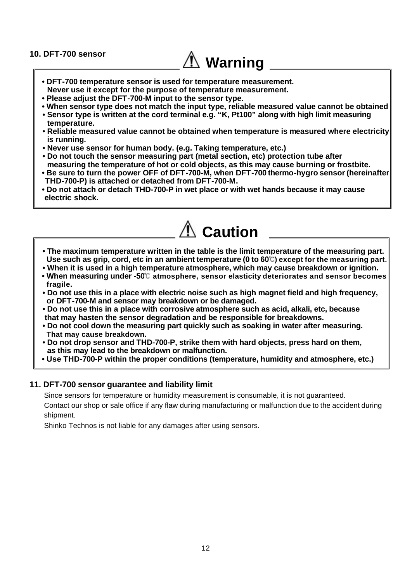#### **10. DFT-700 sensor**

# **Warning**

- **DFT-700 temperature sensor is used for temperature measurement.**
- **Never use it except for the purpose of temperature measurement.**
- **Please adjust the DFT-700-M input to the sensor type.**
- **When sensor type does not match the input type, reliable measured value cannot be obtained**
- **Sensor type is written at the cord terminal e.g. "K, Pt100" along with high limit measuring temperature.**
- **Reliable measured value cannot be obtained when temperature is measured where electricity is running.**
- **Never use sensor for human body. (e.g. Taking temperature, etc.)**
- **Do not touch the sensor measuring part (metal section, etc) protection tube after measuring the temperature of hot or cold objects, as this may cause burning or frostbite.**
- **Be sure to turn the power OFF of DFT-700-M, when DFT-700 thermo-hygro sensor (hereinafter THD-700-P) is attached or detached from DFT-700-M.**
- **Do not attach or detach THD-700-P in wet place or with wet hands because it may cause electric shock.**



- **The maximum temperature written in the table is the limit temperature of the measuring part. Use such as grip, cord, etc in an ambient temperature (0 to 60 ) except for the measuring part.**
- **When it is used in a high temperature atmosphere, which may cause breakdown or ignition.**
- **When measuring under -50 atmosphere, sensor elasticity deteriorates and sensor becomes fragile.**
- **Do not use this in a place with electric noise such as high magnet field and high frequency, or DFT-700-M and sensor may breakdown or be damaged.**
- **Do not use this in a place with corrosive atmosphere such as acid, alkali, etc, because that may hasten the sensor degradation and be responsible for breakdowns.**
- **Do not cool down the measuring part quickly such as soaking in water after measuring. That may cause breakdown.**
- **Do not drop sensor and THD-700-P, strike them with hard objects, press hard on them, as this may lead to the breakdown or malfunction.**
- **Use THD-700-P within the proper conditions (temperature, humidity and atmosphere, etc.)**

#### **11. DFT-700 sensor guarantee and liability limit**

Since sensors for temperature or humidity measurement is consumable, it is not guaranteed. Contact our shop or sale office if any flaw during manufacturing or malfunction due to the accident during shipment.

Shinko Technos is not liable for any damages after using sensors.